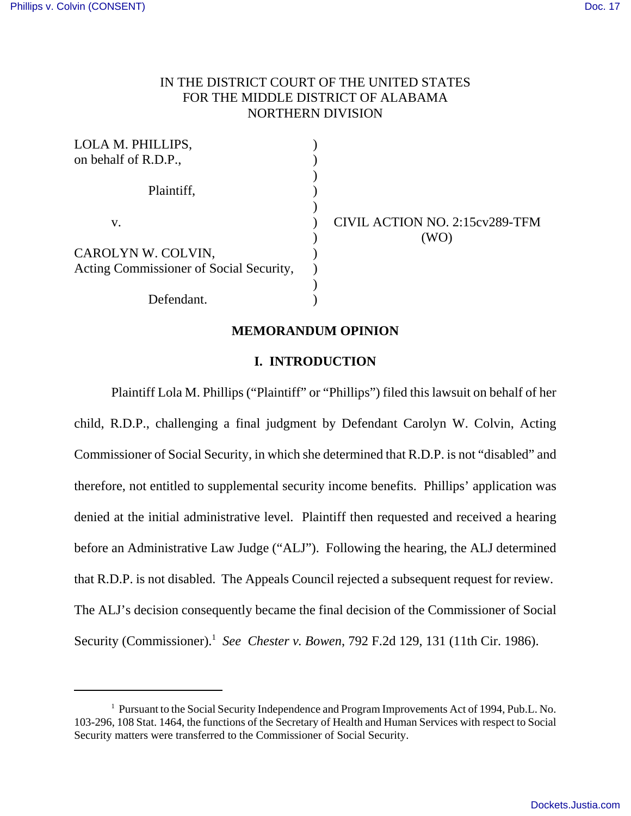## IN THE DISTRICT COURT OF THE UNITED STATES FOR THE MIDDLE DISTRICT OF ALABAMA NORTHERN DIVISION

| LOLA M. PHILLIPS,                       |                                |
|-----------------------------------------|--------------------------------|
| on behalf of R.D.P.,                    |                                |
|                                         |                                |
| Plaintiff,                              |                                |
|                                         |                                |
| V.                                      | CIVIL ACTION NO. 2:15cv289-TFM |
|                                         | 'WΟ                            |
| CAROLYN W. COLVIN,                      |                                |
| Acting Commissioner of Social Security, |                                |
|                                         |                                |
| Defendant.                              |                                |

### **MEMORANDUM OPINION**

## **I. INTRODUCTION**

Plaintiff Lola M. Phillips ("Plaintiff" or "Phillips") filed this lawsuit on behalf of her child, R.D.P., challenging a final judgment by Defendant Carolyn W. Colvin, Acting Commissioner of Social Security, in which she determined that R.D.P. is not "disabled" and therefore, not entitled to supplemental security income benefits. Phillips' application was denied at the initial administrative level. Plaintiff then requested and received a hearing before an Administrative Law Judge ("ALJ"). Following the hearing, the ALJ determined that R.D.P. is not disabled. The Appeals Council rejected a subsequent request for review. The ALJ's decision consequently became the final decision of the Commissioner of Social Security (Commissioner).<sup>1</sup> *See Chester v. Bowen*, 792 F.2d 129, 131 (11th Cir. 1986).

<sup>&</sup>lt;sup>1</sup> Pursuant to the Social Security Independence and Program Improvements Act of 1994, Pub.L. No. 103-296, 108 Stat. 1464, the functions of the Secretary of Health and Human Services with respect to Social Security matters were transferred to the Commissioner of Social Security.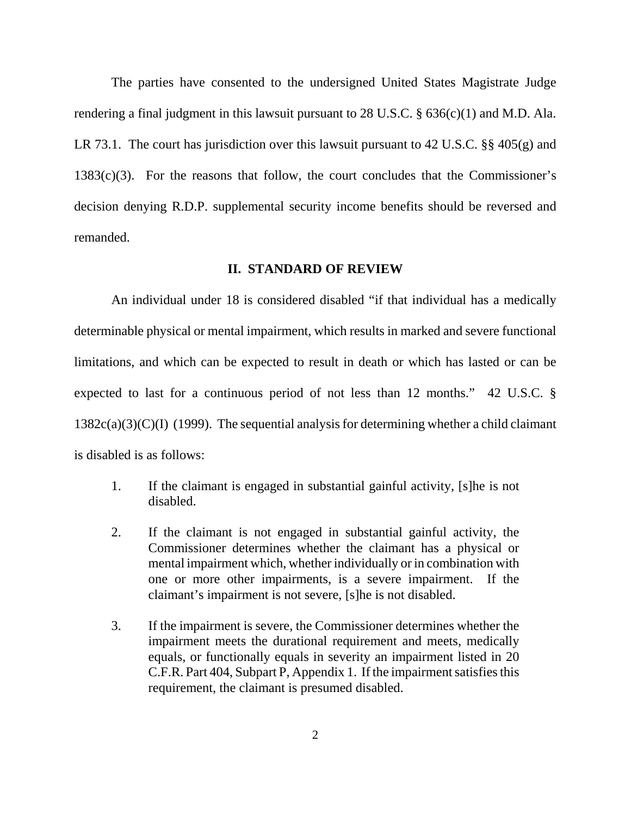The parties have consented to the undersigned United States Magistrate Judge rendering a final judgment in this lawsuit pursuant to 28 U.S.C. § 636(c)(1) and M.D. Ala. LR 73.1. The court has jurisdiction over this lawsuit pursuant to 42 U.S.C. §§ 405(g) and  $1383(c)(3)$ . For the reasons that follow, the court concludes that the Commissioner's decision denying R.D.P. supplemental security income benefits should be reversed and remanded.

## **II. STANDARD OF REVIEW**

An individual under 18 is considered disabled "if that individual has a medically determinable physical or mental impairment, which results in marked and severe functional limitations, and which can be expected to result in death or which has lasted or can be expected to last for a continuous period of not less than 12 months." 42 U.S.C. §  $1382c(a)(3)(C)(I)$  (1999). The sequential analysis for determining whether a child claimant is disabled is as follows:

- 1. If the claimant is engaged in substantial gainful activity, [s]he is not disabled.
- 2. If the claimant is not engaged in substantial gainful activity, the Commissioner determines whether the claimant has a physical or mental impairment which, whether individually or in combination with one or more other impairments, is a severe impairment. If the claimant's impairment is not severe, [s]he is not disabled.
- 3. If the impairment is severe, the Commissioner determines whether the impairment meets the durational requirement and meets, medically equals, or functionally equals in severity an impairment listed in 20 C.F.R. Part 404, Subpart P, Appendix 1. If the impairment satisfies this requirement, the claimant is presumed disabled.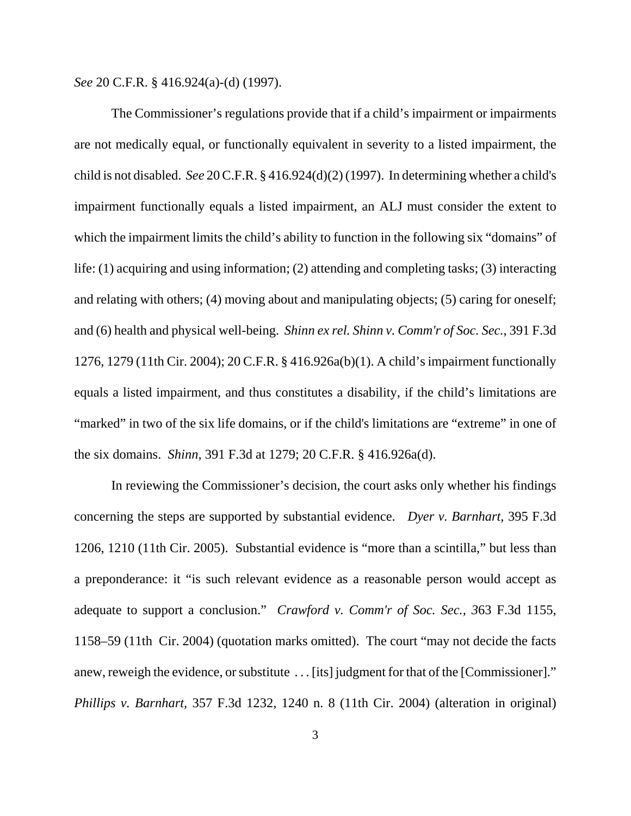*See* 20 C.F.R. § 416.924(a)-(d) (1997).

The Commissioner's regulations provide that if a child's impairment or impairments are not medically equal, or functionally equivalent in severity to a listed impairment, the child is not disabled. *See* 20 C.F.R. § 416.924(d)(2) (1997). In determining whether a child's impairment functionally equals a listed impairment, an ALJ must consider the extent to which the impairment limits the child's ability to function in the following six "domains" of life: (1) acquiring and using information; (2) attending and completing tasks; (3) interacting and relating with others; (4) moving about and manipulating objects; (5) caring for oneself; and (6) health and physical well-being. *Shinn ex rel. Shinn v. Comm'r of Soc. Sec.*, 391 F.3d 1276, 1279 (11th Cir. 2004); 20 C.F.R. § 416.926a(b)(1). A child's impairment functionally equals a listed impairment, and thus constitutes a disability, if the child's limitations are "marked" in two of the six life domains, or if the child's limitations are "extreme" in one of the six domains. *Shinn*, 391 F.3d at 1279; 20 C.F.R. § 416.926a(d).

In reviewing the Commissioner's decision, the court asks only whether his findings concerning the steps are supported by substantial evidence. *Dyer v. Barnhart,* 395 F.3d 1206, 1210 (11th Cir. 2005). Substantial evidence is "more than a scintilla," but less than a preponderance: it "is such relevant evidence as a reasonable person would accept as adequate to support a conclusion." *Crawford v. Comm'r of Soc. Sec., 3*63 F.3d 1155, 1158–59 (11th Cir. 2004) (quotation marks omitted). The court "may not decide the facts anew, reweigh the evidence, or substitute . . . [its] judgment for that of the [Commissioner]." *Phillips v. Barnhart,* 357 F.3d 1232, 1240 n. 8 (11th Cir. 2004) (alteration in original)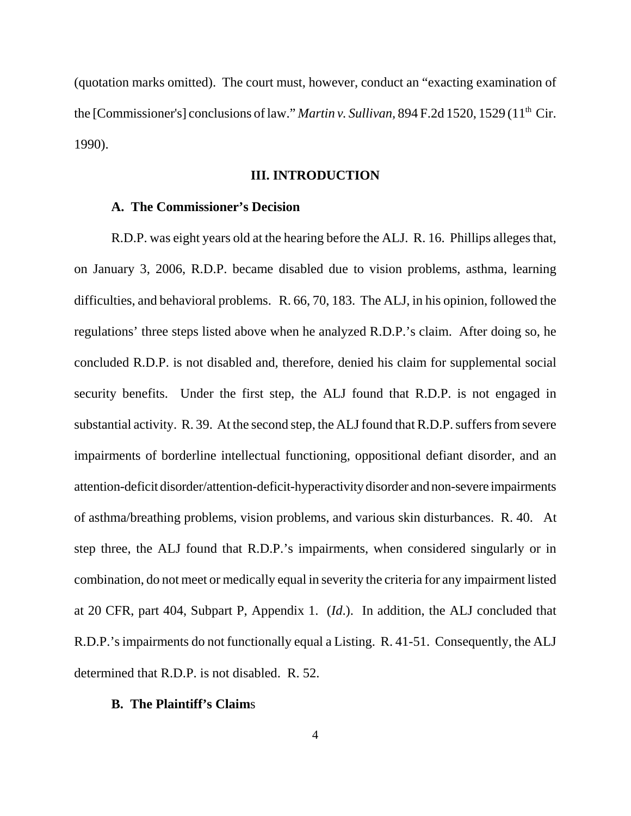(quotation marks omitted).The court must, however, conduct an "exacting examination of the [Commissioner's] conclusions of law." *Martin v. Sullivan*, 894 F.2d 1520, 1529 (11<sup>th</sup> Cir. 1990).

## **III. INTRODUCTION**

## **A. The Commissioner's Decision**

R.D.P. was eight years old at the hearing before the ALJ. R. 16. Phillips alleges that, on January 3, 2006, R.D.P. became disabled due to vision problems, asthma, learning difficulties, and behavioral problems. R. 66, 70, 183. The ALJ, in his opinion, followed the regulations' three steps listed above when he analyzed R.D.P.'s claim. After doing so, he concluded R.D.P. is not disabled and, therefore, denied his claim for supplemental social security benefits. Under the first step, the ALJ found that R.D.P. is not engaged in substantial activity. R. 39. At the second step, the ALJ found that R.D.P. suffers from severe impairments of borderline intellectual functioning, oppositional defiant disorder, and an attention-deficit disorder/attention-deficit-hyperactivity disorder and non-severe impairments of asthma/breathing problems, vision problems, and various skin disturbances. R. 40. At step three, the ALJ found that R.D.P.'s impairments, when considered singularly or in combination, do not meet or medically equal in severity the criteria for any impairment listed at 20 CFR, part 404, Subpart P, Appendix 1. (*Id*.). In addition, the ALJ concluded that R.D.P.'s impairments do not functionally equal a Listing. R. 41-51. Consequently, the ALJ determined that R.D.P. is not disabled. R. 52.

## **B. The Plaintiff's Claim**s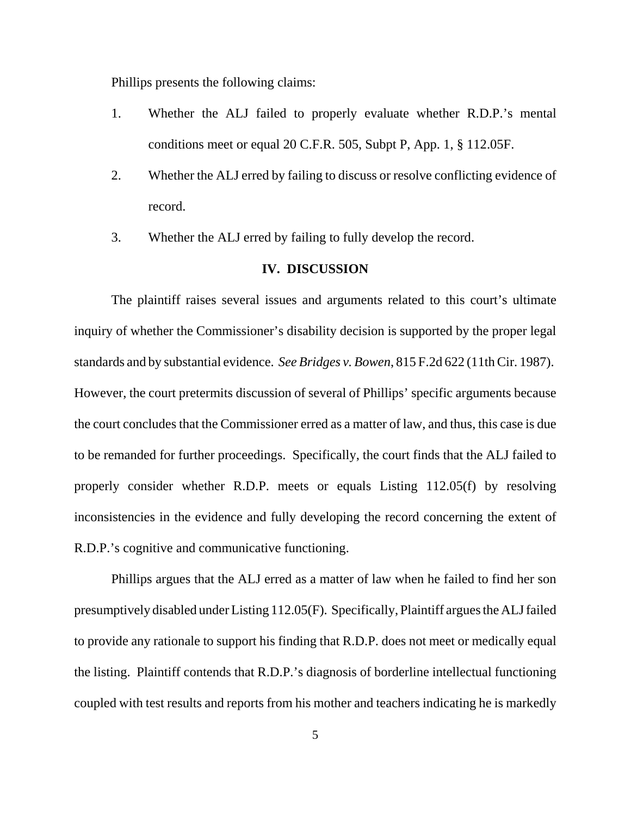Phillips presents the following claims:

- 1. Whether the ALJ failed to properly evaluate whether R.D.P.'s mental conditions meet or equal 20 C.F.R. 505, Subpt P, App. 1, § 112.05F.
- 2. Whether the ALJ erred by failing to discuss or resolve conflicting evidence of record.
- 3. Whether the ALJ erred by failing to fully develop the record.

## **IV. DISCUSSION**

The plaintiff raises several issues and arguments related to this court's ultimate inquiry of whether the Commissioner's disability decision is supported by the proper legal standards and by substantial evidence. *See Bridges v. Bowen*, 815 F.2d 622 (11th Cir. 1987). However, the court pretermits discussion of several of Phillips' specific arguments because the court concludes that the Commissioner erred as a matter of law, and thus, this case is due to be remanded for further proceedings. Specifically, the court finds that the ALJ failed to properly consider whether R.D.P. meets or equals Listing 112.05(f) by resolving inconsistencies in the evidence and fully developing the record concerning the extent of R.D.P.'s cognitive and communicative functioning.

Phillips argues that the ALJ erred as a matter of law when he failed to find her son presumptively disabled under Listing 112.05(F). Specifically, Plaintiff argues the ALJ failed to provide any rationale to support his finding that R.D.P. does not meet or medically equal the listing. Plaintiff contends that R.D.P.'s diagnosis of borderline intellectual functioning coupled with test results and reports from his mother and teachers indicating he is markedly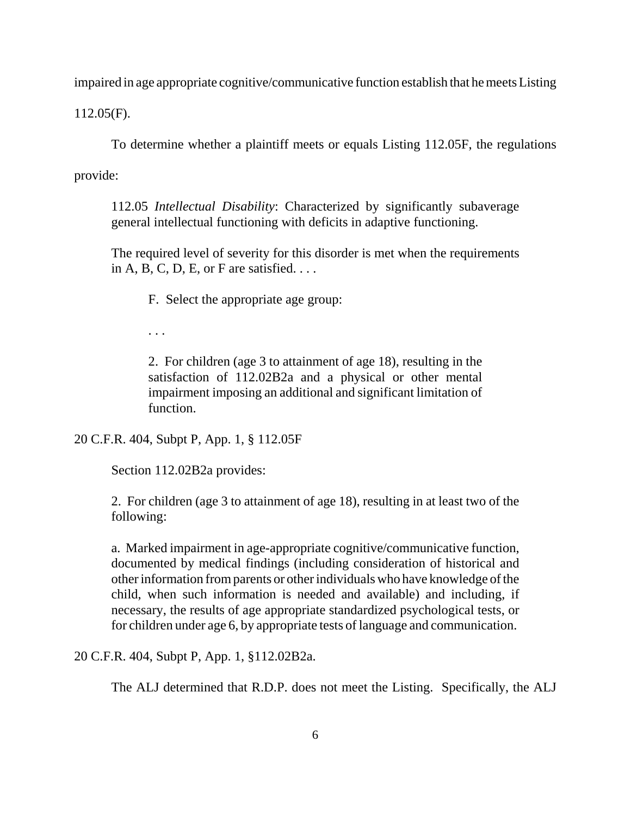impaired in age appropriate cognitive/communicative function establish that he meets Listing

112.05(F).

To determine whether a plaintiff meets or equals Listing 112.05F, the regulations

provide:

112.05 *Intellectual Disability*: Characterized by significantly subaverage general intellectual functioning with deficits in adaptive functioning.

The required level of severity for this disorder is met when the requirements in A, B, C, D, E, or F are satisfied.  $\dots$ 

F. Select the appropriate age group:

. . .

2. For children (age 3 to attainment of age 18), resulting in the satisfaction of 112.02B2a and a physical or other mental impairment imposing an additional and significant limitation of function.

20 C.F.R. 404, Subpt P, App. 1, § 112.05F

Section 112.02B2a provides:

2. For children (age 3 to attainment of age 18), resulting in at least two of the following:

a. Marked impairment in age-appropriate cognitive/communicative function, documented by medical findings (including consideration of historical and other information from parents or other individuals who have knowledge of the child, when such information is needed and available) and including, if necessary, the results of age appropriate standardized psychological tests, or for children under age 6, by appropriate tests of language and communication.

20 C.F.R. 404, Subpt P, App. 1, §112.02B2a.

The ALJ determined that R.D.P. does not meet the Listing. Specifically, the ALJ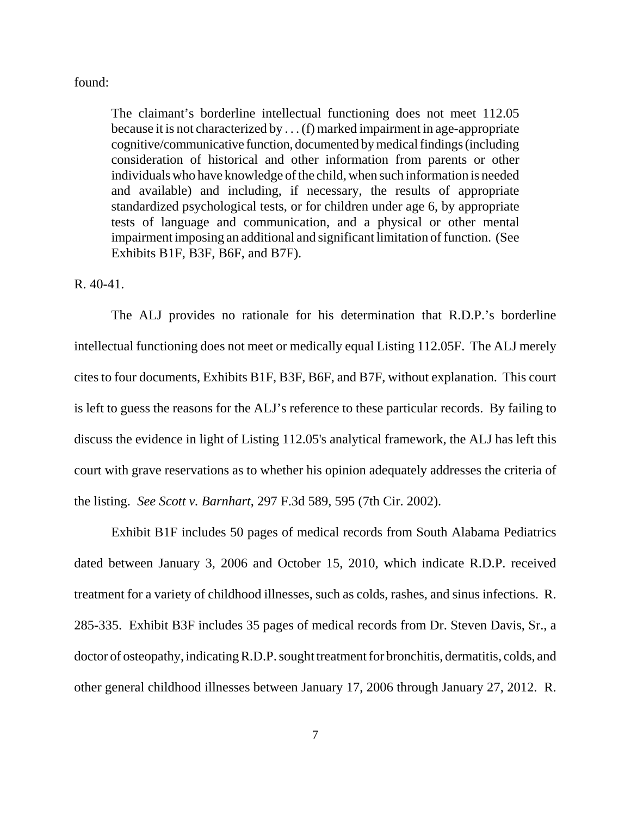### found:

The claimant's borderline intellectual functioning does not meet 112.05 because it is not characterized by . . . (f) marked impairment in age-appropriate cognitive/communicative function, documented by medical findings (including consideration of historical and other information from parents or other individuals who have knowledge of the child, when such information is needed and available) and including, if necessary, the results of appropriate standardized psychological tests, or for children under age 6, by appropriate tests of language and communication, and a physical or other mental impairment imposing an additional and significant limitation of function. (See Exhibits B1F, B3F, B6F, and B7F).

### R. 40-41.

The ALJ provides no rationale for his determination that R.D.P.'s borderline intellectual functioning does not meet or medically equal Listing 112.05F. The ALJ merely cites to four documents, Exhibits B1F, B3F, B6F, and B7F, without explanation. This court is left to guess the reasons for the ALJ's reference to these particular records. By failing to discuss the evidence in light of Listing 112.05's analytical framework, the ALJ has left this court with grave reservations as to whether his opinion adequately addresses the criteria of the listing. *See Scott v. Barnhart*, 297 F.3d 589, 595 (7th Cir. 2002).

Exhibit B1F includes 50 pages of medical records from South Alabama Pediatrics dated between January 3, 2006 and October 15, 2010, which indicate R.D.P. received treatment for a variety of childhood illnesses, such as colds, rashes, and sinus infections. R. 285-335. Exhibit B3F includes 35 pages of medical records from Dr. Steven Davis, Sr., a doctor of osteopathy, indicating R.D.P. sought treatment for bronchitis, dermatitis, colds, and other general childhood illnesses between January 17, 2006 through January 27, 2012. R.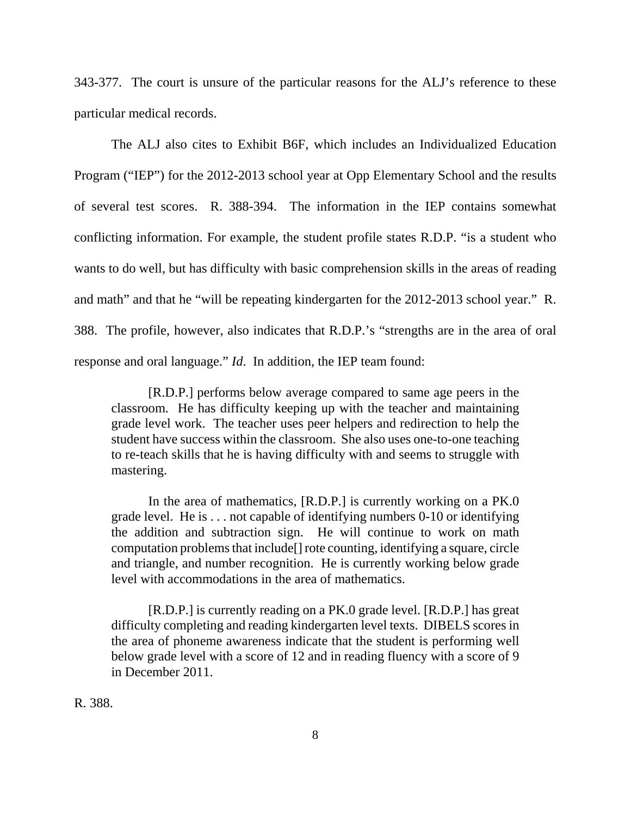343-377. The court is unsure of the particular reasons for the ALJ's reference to these particular medical records.

The ALJ also cites to Exhibit B6F, which includes an Individualized Education Program ("IEP") for the 2012-2013 school year at Opp Elementary School and the results of several test scores. R. 388-394. The information in the IEP contains somewhat conflicting information. For example, the student profile states R.D.P. "is a student who wants to do well, but has difficulty with basic comprehension skills in the areas of reading and math" and that he "will be repeating kindergarten for the 2012-2013 school year." R. 388. The profile, however, also indicates that R.D.P.'s "strengths are in the area of oral response and oral language." *Id*. In addition, the IEP team found:

[R.D.P.] performs below average compared to same age peers in the classroom. He has difficulty keeping up with the teacher and maintaining grade level work. The teacher uses peer helpers and redirection to help the student have success within the classroom. She also uses one-to-one teaching to re-teach skills that he is having difficulty with and seems to struggle with mastering.

In the area of mathematics, [R.D.P.] is currently working on a PK.0 grade level. He is . . . not capable of identifying numbers 0-10 or identifying the addition and subtraction sign. He will continue to work on math computation problems that include[] rote counting, identifying a square, circle and triangle, and number recognition. He is currently working below grade level with accommodations in the area of mathematics.

[R.D.P.] is currently reading on a PK.0 grade level. [R.D.P.] has great difficulty completing and reading kindergarten level texts. DIBELS scores in the area of phoneme awareness indicate that the student is performing well below grade level with a score of 12 and in reading fluency with a score of 9 in December 2011.

R. 388.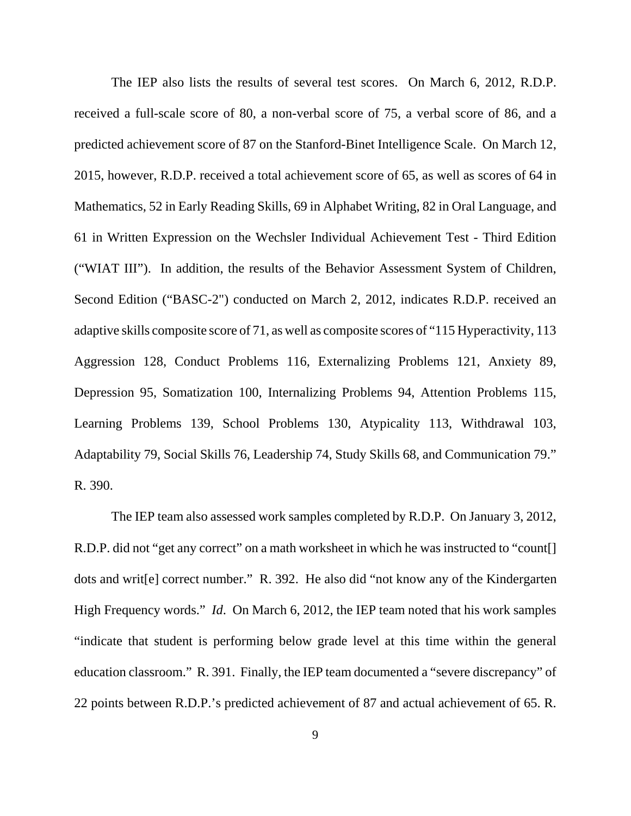The IEP also lists the results of several test scores. On March 6, 2012, R.D.P. received a full-scale score of 80, a non-verbal score of 75, a verbal score of 86, and a predicted achievement score of 87 on the Stanford-Binet Intelligence Scale. On March 12, 2015, however, R.D.P. received a total achievement score of 65, as well as scores of 64 in Mathematics, 52 in Early Reading Skills, 69 in Alphabet Writing, 82 in Oral Language, and 61 in Written Expression on the Wechsler Individual Achievement Test - Third Edition ("WIAT III"). In addition, the results of the Behavior Assessment System of Children, Second Edition ("BASC-2") conducted on March 2, 2012, indicates R.D.P. received an adaptive skills composite score of 71, as well as composite scores of "115 Hyperactivity, 113 Aggression 128, Conduct Problems 116, Externalizing Problems 121, Anxiety 89, Depression 95, Somatization 100, Internalizing Problems 94, Attention Problems 115, Learning Problems 139, School Problems 130, Atypicality 113, Withdrawal 103, Adaptability 79, Social Skills 76, Leadership 74, Study Skills 68, and Communication 79." R. 390.

The IEP team also assessed work samples completed by R.D.P. On January 3, 2012, R.D.P. did not "get any correct" on a math worksheet in which he was instructed to "count[] dots and writ[e] correct number." R. 392. He also did "not know any of the Kindergarten High Frequency words." *Id.* On March 6, 2012, the IEP team noted that his work samples "indicate that student is performing below grade level at this time within the general education classroom." R. 391. Finally, the IEP team documented a "severe discrepancy" of 22 points between R.D.P.'s predicted achievement of 87 and actual achievement of 65. R.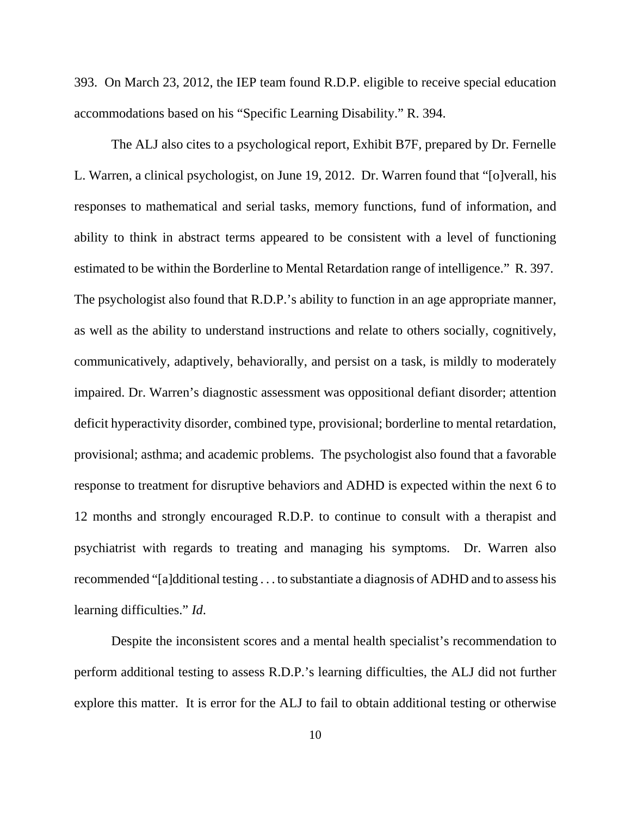393. On March 23, 2012, the IEP team found R.D.P. eligible to receive special education accommodations based on his "Specific Learning Disability." R. 394.

The ALJ also cites to a psychological report, Exhibit B7F, prepared by Dr. Fernelle L. Warren, a clinical psychologist, on June 19, 2012. Dr. Warren found that "[o]verall, his responses to mathematical and serial tasks, memory functions, fund of information, and ability to think in abstract terms appeared to be consistent with a level of functioning estimated to be within the Borderline to Mental Retardation range of intelligence." R. 397. The psychologist also found that R.D.P.'s ability to function in an age appropriate manner, as well as the ability to understand instructions and relate to others socially, cognitively, communicatively, adaptively, behaviorally, and persist on a task, is mildly to moderately impaired. Dr. Warren's diagnostic assessment was oppositional defiant disorder; attention deficit hyperactivity disorder, combined type, provisional; borderline to mental retardation, provisional; asthma; and academic problems. The psychologist also found that a favorable response to treatment for disruptive behaviors and ADHD is expected within the next 6 to 12 months and strongly encouraged R.D.P. to continue to consult with a therapist and psychiatrist with regards to treating and managing his symptoms. Dr. Warren also recommended "[a]dditional testing . . . to substantiate a diagnosis of ADHD and to assess his learning difficulties." *Id*.

Despite the inconsistent scores and a mental health specialist's recommendation to perform additional testing to assess R.D.P.'s learning difficulties, the ALJ did not further explore this matter. It is error for the ALJ to fail to obtain additional testing or otherwise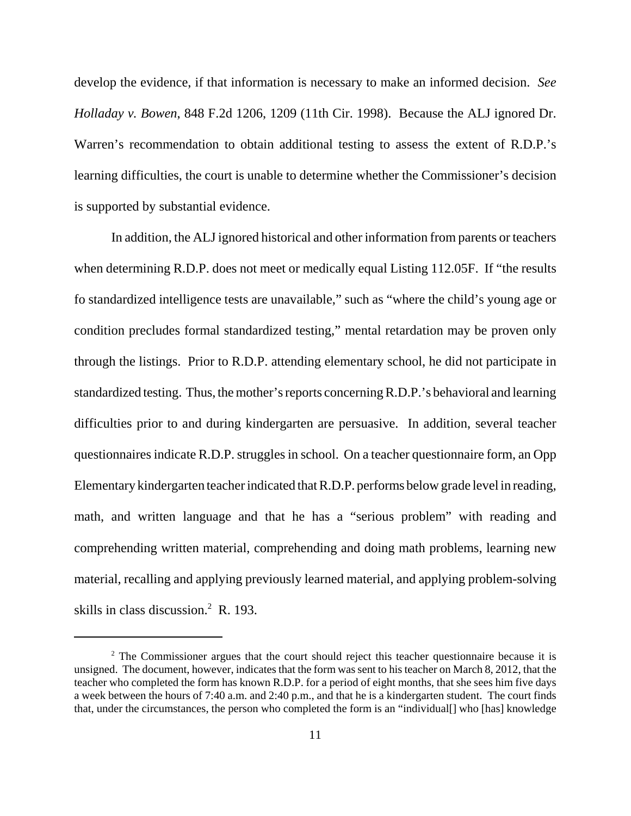develop the evidence, if that information is necessary to make an informed decision. *See Holladay v. Bowen*, 848 F.2d 1206, 1209 (11th Cir. 1998). Because the ALJ ignored Dr. Warren's recommendation to obtain additional testing to assess the extent of R.D.P.'s learning difficulties, the court is unable to determine whether the Commissioner's decision is supported by substantial evidence.

In addition, the ALJ ignored historical and other information from parents or teachers when determining R.D.P. does not meet or medically equal Listing 112.05F. If "the results" fo standardized intelligence tests are unavailable," such as "where the child's young age or condition precludes formal standardized testing," mental retardation may be proven only through the listings. Prior to R.D.P. attending elementary school, he did not participate in standardized testing. Thus, the mother's reports concerning R.D.P.'s behavioral and learning difficulties prior to and during kindergarten are persuasive. In addition, several teacher questionnaires indicate R.D.P. struggles in school. On a teacher questionnaire form, an Opp Elementary kindergarten teacher indicated that R.D.P. performs below grade level in reading, math, and written language and that he has a "serious problem" with reading and comprehending written material, comprehending and doing math problems, learning new material, recalling and applying previously learned material, and applying problem-solving skills in class discussion. $2$  R. 193.

<sup>&</sup>lt;sup>2</sup> The Commissioner argues that the court should reject this teacher questionnaire because it is unsigned. The document, however, indicates that the form was sent to his teacher on March 8, 2012, that the teacher who completed the form has known R.D.P. for a period of eight months, that she sees him five days a week between the hours of 7:40 a.m. and 2:40 p.m., and that he is a kindergarten student. The court finds that, under the circumstances, the person who completed the form is an "individual[] who [has] knowledge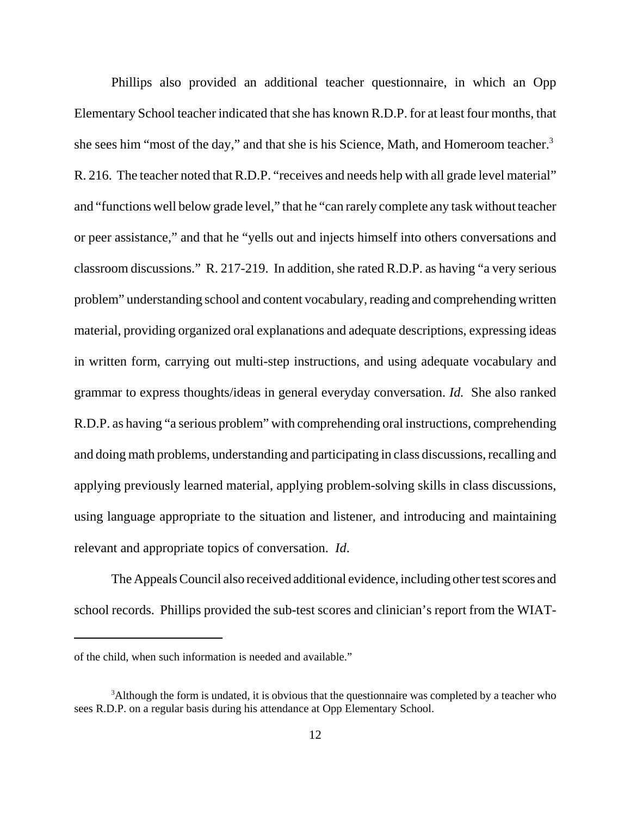Phillips also provided an additional teacher questionnaire, in which an Opp Elementary School teacher indicated that she has known R.D.P. for at least four months, that she sees him "most of the day," and that she is his Science, Math, and Homeroom teacher.<sup>3</sup> R. 216. The teacher noted that R.D.P. "receives and needs help with all grade level material" and "functions well below grade level," that he "can rarely complete any task without teacher or peer assistance," and that he "yells out and injects himself into others conversations and classroom discussions." R. 217-219. In addition, she rated R.D.P. as having "a very serious problem" understanding school and content vocabulary, reading and comprehending written material, providing organized oral explanations and adequate descriptions, expressing ideas in written form, carrying out multi-step instructions, and using adequate vocabulary and grammar to express thoughts/ideas in general everyday conversation. *Id.* She also ranked R.D.P. as having "a serious problem" with comprehending oral instructions, comprehending and doing math problems, understanding and participating in class discussions, recalling and applying previously learned material, applying problem-solving skills in class discussions, using language appropriate to the situation and listener, and introducing and maintaining relevant and appropriate topics of conversation. *Id*.

The Appeals Council also received additional evidence, including other test scores and school records. Phillips provided the sub-test scores and clinician's report from the WIAT-

of the child, when such information is needed and available."

<sup>&</sup>lt;sup>3</sup>Although the form is undated, it is obvious that the questionnaire was completed by a teacher who sees R.D.P. on a regular basis during his attendance at Opp Elementary School.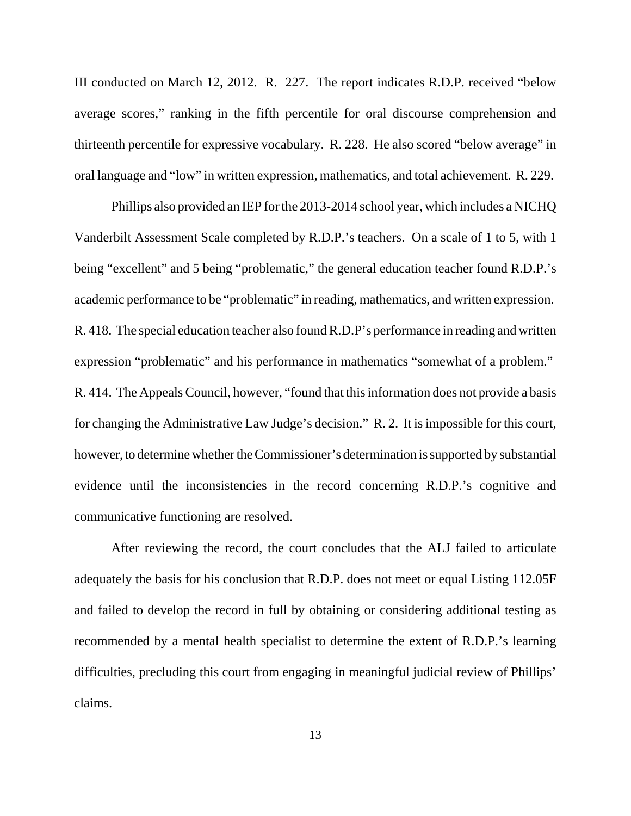III conducted on March 12, 2012. R. 227. The report indicates R.D.P. received "below average scores," ranking in the fifth percentile for oral discourse comprehension and thirteenth percentile for expressive vocabulary. R. 228. He also scored "below average" in oral language and "low" in written expression, mathematics, and total achievement. R. 229.

Phillips also provided an IEP for the 2013-2014 school year, which includes a NICHQ Vanderbilt Assessment Scale completed by R.D.P.'s teachers. On a scale of 1 to 5, with 1 being "excellent" and 5 being "problematic," the general education teacher found R.D.P.'s academic performance to be "problematic" in reading, mathematics, and written expression. R. 418. The special education teacher also found R.D.P's performance in reading and written expression "problematic" and his performance in mathematics "somewhat of a problem." R. 414. The Appeals Council, however, "found that this information does not provide a basis for changing the Administrative Law Judge's decision." R. 2. It is impossible for this court, however, to determine whether the Commissioner's determination is supported by substantial evidence until the inconsistencies in the record concerning R.D.P.'s cognitive and communicative functioning are resolved.

After reviewing the record, the court concludes that the ALJ failed to articulate adequately the basis for his conclusion that R.D.P. does not meet or equal Listing 112.05F and failed to develop the record in full by obtaining or considering additional testing as recommended by a mental health specialist to determine the extent of R.D.P.'s learning difficulties, precluding this court from engaging in meaningful judicial review of Phillips' claims.